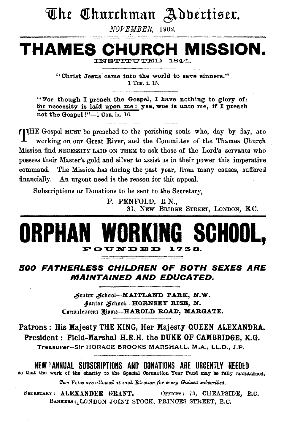### The Churchman Adbertiser.

*NOVEMBER,* 1902.

### **THAMES CHURCH MISSION.**

INSTITUTED i844-

"Christ Jesus came into the world to save sinners." 1 TIM. i. 15.

"For though I preach the Gospel, I have nothing to glory of: for necessity is laid upon me : yea, woe is unto me, if I preach not the Gospel !"-1 Con. ix. 16.

THE Gospel MUST be preached to the perishing souls who, day by day, are working on our Great River, and the Committee of the Thames Church Mission find NECESSITY LAID ON THEM to ask those of the Lord's servants who possess their Master's gold and silver to assist as in their power this imperative command. The Mission has during the past year, from many causes, suffered financially. An urgent need is the reason for this appeal.

Subscriptions or Donations to be sent to the Secretary,

F. PENFOLD, R.N., 31, NEW BRIDGE STREET, LONDON, E.C.

### **ORPHAN WORKING SCHOOL,**   $\tt F O UN D E D'$

#### 500 FATHERLESS CHILDREN OF BOTH SEXES ARE MAINTAINED AND EDUCATED.

Senior School-MAITLAND PARK, N.W. Junior School-HORNSEY RISE, N. Combalescent Home-HAROLD ROAD, MARGATE.

Patrons : His Majesty THE KING, Her Majesty QUEEN ALEXANDRA. President: Field-Marshal H.R.H. the DUKE OF CAMBRIDGE, K.G. Treasurer-Sir HORACE BROOKS MARSHALL, M.A., LL.D., J.P.

NEW \*ANNUAL SUBSCRIPTIONS AND DONATIONS ARE URCENTLY NEEDED so that the work of the charity to the Special Coronation Year Fund may be fully maintained.

Two Votes are allowed at each Election for every Guinea subscribed.

SECRETARY: ALEXANDER GRANT. OFFICES: 73, CHEAPSIDE, E.C. BANKERS : LONDON JOINT STOCK, PRINCES STREET, E.C.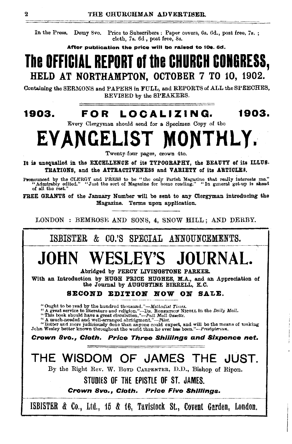In the Press. Demy 8vo. Price to Subscribers: Paper covers, 6s. Od., post free, 7s. ; cloth, 7s. 6d , post free, 8s.

After publication the price will be raised to 10s. 6d.

### **The OFFICIAL REPORT of the CHURCH CONGRESS,**  HELD AT NORTHAMPTON, OCTOBER 7 TO 10, 1902.

Containing the SERMONS and PAPERS in FULL, and REPORTS of ALL the SPEECHES, REVISED by the SPEAKERS.

### **1903. FOR L 0 C A L I Z I N G. 1903.**

Every Clergyman should send for a Specimen Copy of the

## **EVANGELIST MONTHLY.**

Twenty.four pages, crown 4to.

It is unequalled in the EXCELLENCE of its TYPOGRAPHY, the BEAUTY of its ILLUS-TRATIONS, and the ATTRACTIVENESS and VARIETY of its ARTICLES.

Pronounced by the CLERGY and PRESS to be "the only Parish Magazine that really interests me." "Admirably edited." "Just the sort of Magazine for home reading." "In general get·up is ahead of all the rest."

FREE GRANTS of the January Number will be sent to any Clergyman introducing the Magazine. Terms upon application.

LONDON : BEMROSE AND SONS, 4, SNOW HILL; AND DERBY.

ISBISTER & CO.'S SPECIAL ANNOUNCEMENTS.

## **JOHN WESLEY'S JOURNAL.**

Abridged by PERCY LIVINGSTONE PARKER.

With an Introduction by RUGR PRICE RUGRES, M.A., and an Appreciation of the Journal by AUGUSTINE BIRRELL, K.C.

#### SECOND EDITION NOW ON SALE.

"Ought to be read by the hundred thousand."—Methodist Times.<br>"A great service to literature and religion."—DR. ROBERTSON NICOLL in the *Daily Mail.*<br>"This book should have a great circulation."—Pall Mail Gasette.<br>"A much-

~· --~·---- -

"Better and more judiciously done than anyone could expect, and will be the means of making John Wesley better known throughout the world than he ever has been."--Presbyterian.

Crown 8vo., Cloth. Price Three Shillings and Sixpence net.

 $-$ 

### THE WISDOM OF JAMES THE JUST.

By the Right Rev. W. BoYD CARPENTER, D.D., Bishop of Ripon.

STUDIES OF THE EPISTLE OF ST. JAMES.

Crown 8vo., Cloth. Price Five Shillings.

ISBISTER & Co., Ltd., 15 & 16, Tavistock St., Covent Garden, London.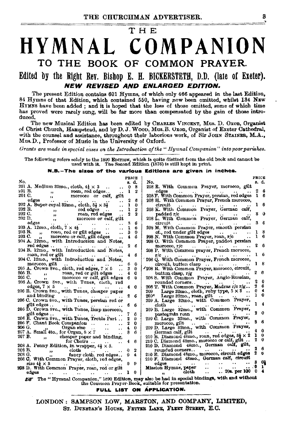### тне HYMNAL COMPANION TO THE BOOK OF COMMON PRAYER.

#### Edited by the Right Rev. Bishop E. H. BICKERSTETH, D.D. (late of Exeter). NEW REVISED AND ENLARGED EDITION.

The present Edition contains 601 Hymns, of which only 466 appeared in the last Edition, 84 Hymns of that Edition, which contained 550, having now been omitted, whilst 184 NEW HYMNS have been added; and it is hoped that the loss of those omitted, some of which time has proved were rarely sung, will be far more than compensated by the gain of those introduced.

The new Musical Edition has been edited by CHARLES VINCRNT, Mus. D. Oxon, Organist of Christ Church, Hampstead, and by D. J. Woon, Mus. B. Uxon, Organist of Exeter Cathedral, with the counsel and assistance, throughout their laborious work, of Sir JOHN STAINER, M.A., Mus. D., Professor of Music in the University of Oxford.

Grants are made in special cases on the Introduction of the "Hymnal Companion" into poor parishes.

The following refers solely to the 1890 EDITION, which is quite distinct from the old book and cannot be used with it. The Second Edition (1876) is still kept in print.

#### N.B.-The sizes of the various Editions are given in inches.

|                                                                                                |                                                                                                                                                                          | PRICE             |                                                                                                  | <b>PRICE</b>            |  |
|------------------------------------------------------------------------------------------------|--------------------------------------------------------------------------------------------------------------------------------------------------------------------------|-------------------|--------------------------------------------------------------------------------------------------|-------------------------|--|
| No.                                                                                            |                                                                                                                                                                          | s. d.             | No.                                                                                              | s. d.                   |  |
|                                                                                                | 201 A. Medium 32mo., cloth, $4\frac{1}{2} \times 3$                                                                                                                      | -8<br>0           | 208 E. With Common Prayer, morocco, gilt                                                         |                         |  |
|                                                                                                | 201 В.<br>roan, red edges<br>morecae<br>$11 -$                                                                                                                           | ı                 | edges                                                                                            | 2<br>6                  |  |
| 201 C.                                                                                         | morocco or cali, gilt<br>$\mathbf{a}$                                                                                                                                    |                   | 208 F. With Common Prayer, persian, red edges                                                    | 1 <sub>6</sub>          |  |
|                                                                                                | edgea<br>$\ddotsc$<br>$\sim$ $\sim$                                                                                                                                      | 2<br>6            | 208 H. With Common Prayer, French morocco,                                                       |                         |  |
|                                                                                                | $\star$<br>202 A. Super-royal 32mo., cloth, $5\frac{1}{2} \times 3\frac{1}{2}$<br>$\ddot{\phantom{a}}$                                                                   | $\bf{0}$<br>ı     | circuit<br>$\ddotsc$                                                                             | 16                      |  |
| 202 В.                                                                                         |                                                                                                                                                                          | 2<br>ı            | 208 K. With Common Prayer, German calf.                                                          |                         |  |
| 202 C.                                                                                         |                                                                                                                                                                          | $\mathbf{2}$<br>2 | padded r/c                                                                                       | 80                      |  |
| 202 D.                                                                                         |                                                                                                                                                                          |                   | 208 L. With Common Prayer, German calf,                                                          |                         |  |
|                                                                                                | B. $\ldots$ , red edges $\ldots$ .<br>$\ldots$ , red edges $\ldots$ , mono, red edges $\ldots$ , morocco or eal, gilt<br>edges $\ldots$ , $\ldots$ , $\ldots$ , $\ldots$ | 3.<br>6           | circuit.                                                                                         | 36                      |  |
|                                                                                                | الحجار الحفارا مقررا<br>$203$ A. $12$ mo., cloth, $7 \times 4\frac{1}{2}$                                                                                                | ı<br>6            | $\sim$<br>208 M. With Common Prayer, smooth persian                                              |                         |  |
|                                                                                                |                                                                                                                                                                          |                   |                                                                                                  | - 8                     |  |
|                                                                                                | 203 B., roan, red or gilt edges.                                                                                                                                         | 8<br>0            | $ct.$ , red under gilt edges $\ldots$ .                                                          | ı<br>ı<br>6             |  |
|                                                                                                | 203 C. $\frac{1}{12}$<br>morocco or calf, gilt edges<br>÷.                                                                                                               | в<br>4            | 208 N. With Common Prayer, roan, r/c                                                             |                         |  |
|                                                                                                | 204 A. 12mo., with Introduction and Notes,                                                                                                                               |                   | 208 O. With Common Prayer, padded persian                                                        |                         |  |
|                                                                                                | red edges<br>$\sim$ $\sim$<br>$\cdots$                                                                                                                                   | 2<br>6            | morocco, r/c<br>take the season and season<br><b>AND TO</b>                                      | 6                       |  |
|                                                                                                | 204 B. 12mo., with Introduction and Notes,                                                                                                                               |                   | 208 P. With Common prayer, French morocco,                                                       |                         |  |
|                                                                                                | roan, red or gilt<br><b>Contract Contract Contract</b>                                                                                                                   | 6<br>4.           | $r/c$<br>208 Q. With Common Prayer, French morocco,                                              |                         |  |
|                                                                                                | 204 C. 12mo., with Introduction and Notes.                                                                                                                               |                   |                                                                                                  |                         |  |
|                                                                                                | morocco, gilt                                                                                                                                                            | - 0<br>ß.         |                                                                                                  |                         |  |
|                                                                                                | 205 A. Crown 8vo., cloth, red edges, $7 \times 5$                                                                                                                        | 3<br>$\mathbf{0}$ | '208 R. With Common Prayer, morosco, circuit,                                                    |                         |  |
|                                                                                                | 205 B., , roan, red or gilt edges<br>205 C., , morocco or calf, gilt edges                                                                                               | 0<br>4            | 2<br>button clasp, $r/g$<br>$\mathbf{r}$ , $\mathbf{r}$                                          | 6                       |  |
|                                                                                                |                                                                                                                                                                          | 6.<br>$\Omega$    | 208 S. With Common Prayer, Anglo-Russian,                                                        |                         |  |
|                                                                                                | 206 A. Crown Sve., with Tunes, cloth, red                                                                                                                                |                   | rounded corners                                                                                  | 0                       |  |
|                                                                                                | edges, $7 \times 5$                                                                                                                                                      | 0                 | 208 T. With Common Prayer, Madras r/o r/g                                                        | 6                       |  |
|                                                                                                | 206 B. Crown 8vo., with Tunes, cheaper paper                                                                                                                             |                   | a<br>Large 32mo., cloth, ruby type, $5 \times 3$<br>209                                          | 4                       |  |
|                                                                                                | and binding                                                                                                                                                              | 6                 | ı<br>209* Large 32mo., roan, gilt<br>$\sim$                                                      | 0                       |  |
|                                                                                                | 206 C. Crown 8vo., with Tunes, persian red or                                                                                                                            |                   | 209 A. Large 32mo., with Common Prayer,                                                          |                         |  |
|                                                                                                | gilt edges                                                                                                                                                               | 6                 | cloth                                                                                            |                         |  |
|                                                                                                | 206 D. Crown Svo., with Tunes, limp morocco,                                                                                                                             |                   | 209 B. Large 32mo., with Common Prayer,                                                          |                         |  |
|                                                                                                | gilt edges<br>$\cdots$                                                                                                                                                   | ĥ                 | pastegrain roan<br>$\Delta\Delta\phi$ and $\Delta\phi$ and $\Delta\phi$                          | - 0                     |  |
|                                                                                                | 206 E. Crown 8vo., with Tunes, Treble Part                                                                                                                               | 2<br>0            | 209 C. Large 32mo., with Common Prayer,                                                          |                         |  |
|                                                                                                | 206 F. Chant Book Companion                                                                                                                                              | 0                 | morocco, gilt<br>$\sim$ $\sim$                                                                   | 6                       |  |
|                                                                                                |                                                                                                                                                                          | 0<br>4            | 209 D. Large 82mo., with Common Prayer,                                                          |                         |  |
|                                                                                                |                                                                                                                                                                          | 8.<br>в           | German calf, gilt                                                                                | o                       |  |
|                                                                                                | $\cdots$<br>$\ddot{\phantom{0}}$<br>207 B.,<br>cheaper paper and binding,                                                                                                |                   | 210 B. Diamond 48mo., roan, red edges, $9\frac{1}{2} \times 2$<br>1                              | - 0                     |  |
|                                                                                                | for Choirs                                                                                                                                                               | 46                | 210 C. Diamond 48mo., morocco or calf, gilt                                                      | 0                       |  |
|                                                                                                | 208 A. Penny Edition, in wrapper, $4\frac{1}{2} \times 3$ .                                                                                                              |                   | 210 D. Diamond 48mo., German calf, gilt,                                                         |                         |  |
| 208 B.                                                                                         | cloth                                                                                                                                                                    | 2                 | rounded corners<br>recent in                                                                     | -6                      |  |
| 208 G.                                                                                         | $\rightarrow$                                                                                                                                                            | 0 <sub>4</sub>    | 210 E. Diamond 48mo., morocco, circuit edges                                                     |                         |  |
|                                                                                                | fancy cloth, red edges<br>$22 -$<br>208 C. With Common Prayer, cloth, red edges,                                                                                         |                   | 210 F. Diamond 48mo., German calf, circuit                                                       |                         |  |
|                                                                                                | size $4\frac{1}{2} \times 3$                                                                                                                                             | 09                | edges<br>the contract of the con-                                                                | ദ വു                    |  |
|                                                                                                | $\bullet$ $\bullet$                                                                                                                                                      |                   | $\cdot$ $\cdot$<br>$\sim$<br>$\ldots$ . $\ddot{\mathbf{0}}$<br>Mission Hymns, paper<br>$\ddotsc$ | -1                      |  |
|                                                                                                | 208 D. With Common Prayer, roan, red or gilt<br>edges                                                                                                                    |                   | $.20a$ . per 100 0<br>cloth<br>$\ddot{\phantom{a}}$<br>and a                                     | $\overline{\mathbf{A}}$ |  |
|                                                                                                |                                                                                                                                                                          |                   |                                                                                                  |                         |  |
| ## The "Hymnal Companion," 1890 Edition, may also be had in special bindings, with and without |                                                                                                                                                                          |                   |                                                                                                  |                         |  |
| the Common Prayer-Book, suitable for presentation.                                             |                                                                                                                                                                          |                   |                                                                                                  |                         |  |

FULL LIST ON APPLICATION.

LONDON: SAMPSON LOW, MARSTON, AND COMPANY, LIMITED, ST. DUNSTAN'S HOUSE, FETTER LANE, FLEET STREET, E.C.

R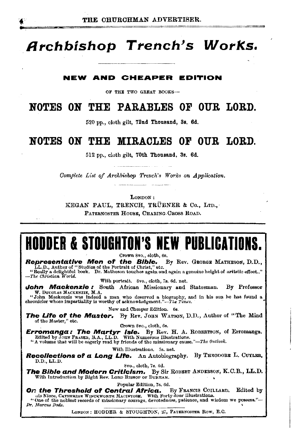### **Archbishop Trench's Works.**

#### **NEW AND CHEAPER EDITION**

OF THE TWO GREAT BOOKS-

### **NOTES ON THE PARABLES OF OUR LORD.**

520 pp., cloth gilt, 72nd Thousand, 3s. 6d.

### **NOTES ON THE MIRACLES OF OUR LORD.**

512 pp., cloth gilt, 70th Thousand, Ss. 6d.

*Complete List of Archbishop Trench's Works on Application.* 

LONDON:

KEGAN PAUL, TRENCH, TRÜBNER & Co., LTD., PATERNOSTER HOUSE, CHARING CROSS ROAD.

### **HODDER & STOUGHTON'S NEW PUBLICATIONS.**

Crown 8vo., eloth, 6s.<br>**Representative Men of the Bible.** 1 **Representative Men of the Bible.** By Rev. GEORGE MATHESON, D.D., LL.D., Author of "Studies of the Portrait of Christ," etc. "Really a delightful book. Dr. Matheson touches again and again a genuine height of artistic effect.."<br>- The Christian World.

With portrait. 8vo., cloth, 7s. 6d. net.

**John Mackenzie :** South African Missionary and Statesman. By Professor W. Douglas Mackenzie, M.A.

"John Mackenzie was indeed a man who deserved a biography, and in his son he has found a chronicler whose impartislity is worthy of acknowledgment."-Th• *Times.* · •

New and Cheaper Edition. 6s.

**The Life of the Master.** By Rev. JOHN WATSON, D.D., Author of "The Mind of the Master." etc.

Crown 8vo., cloth, 6s.

**Erromanga: The Martyr Isle.** By Rev. H. A. ROBERTSON, of Erromanga. Edited by Joun Fassen, B.A., LL.D. With Numerous Illustrations.

Edited by JouN FRAsER, B.A., LL.D. With Numerous Illustrations. "A volume that will be eagerly read by friends of the missionary cause."-The *Ol<tlook.* 

With Illustrations. 5s. net.

**Recollections of a Long Llf'e.** An Autobiography. By THEODORE L. CuYLER, D.D.,LL.D. Svo., cloth, 7s. 6d.

**The Bible and Modern Criticism.** By Sir RoBERT ANDERsoN, K.C.B., LL.D. With Introduction by Right Rev. LORD BISHOP OF DURHAM.

Popular Edition, 7s. 6d.

**On the Threshold of Central Africa.** By FRANCIS COILLARD, Edited by

uis Niece, CATHERINE WINCKWORTH MACINTOSH. With Forty-four Illustrations.<br>"One of the noblest records of missionary courage, devotedness, patience, and wisdom we possess."---<br>*Dr. Marcus Dods.* 

LONDON: HODDER & STOUGHTON, 27, PATERNOSTER ROW, E.C.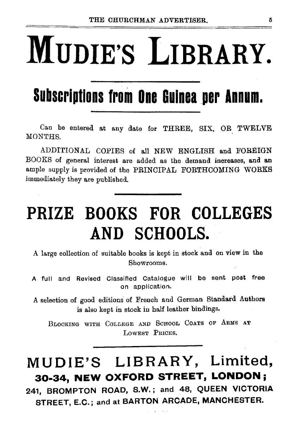# **MUDIE'S LIBRARY.**

### **Subscriptions from One Guinea per Annum.**

Can be entered at any date for THREE, SIX, OR TWELVE MONTHS.

ADDITIONAL COPIES of all NEW ENGLISH and FOREIGN BOOKS of general interest are added as the demand increases, and an ample supply is provided of the PRINCIPAL FORTHCOMING WORKS immediately they are published.

### **PRIZE BOOKS FOR COLLEGES AND SCHOOLS.**

A large collection of suitable books is kept in stock and on view in the Showrooms.

A full and Revised Classified Catalogue will be sent post free on application.

A selection of good editions of French and German Standard Authors is also kept in stock in half leather bindings.

BLOCKING WITH CoLLEGE AND ScHOOL CoATS OF ARMS AT LOWEST PRICES.

### **MUD IE'S LIBRARY, Limited, 30-34, NEW OXFORD STREET, LONDON;**

**241, BROMPTON ROAD, S.W.** i and **48, QUEEN VICTORIA STREET, E.C.;** and at **BARTON ARCADE, MANCHESTER.**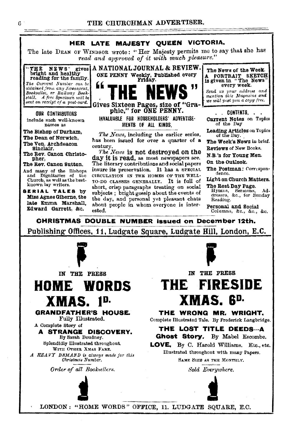#### THE CHURCHMAN ADVERTISER.



The late DEAN OF WINDSOR wrote: "Her Majesty permits me to say that she has read and approved of it with much pleasure."

"THE NEWS" bright and healthy reading for the family. The Current Number can be obtained from any Newsagent, Booksettee, or Railway Bookstall. A free Specimen will be sent on receipt of a post-card.

**OUR CONTRIBUTORS** include such well-known DATIGE AS

The Bishop of Durham. The Dean of Norwich. The Ven. Archdeacon Sinclair.

The Rev. Canon Christopher.

The Rev. Canon Sutton.

And many of the Bishops and Dignitaries of the Church, as well as the bestknown lay writers.

**SERIAL TALES by** Miss Agnes Giberne, the late Emma Marshall. Edward Garrett, &c.



phie," for ONE PENNY.

INVALUARLE FOR HOUSEHOLDERS' ADVERTISE-MENTS OF ALL KINDS.

The News, including the earlier series, has been issued for over a quarter of a century.

The News is not destroyed on the day it is read, as most newspapers are. The literary contributions and social papers insure its preservation. It has a SPECIAL CIRCULATION IN THE HOMES OF THE WELL-TO-DO CLASSES GENERALLY. It is full of short, crisp paragraphs treating on social subjects ; bright gossip about the events of the day, and personal yet pleasant chats about people in whom everyone is interested.

The News of the Week. A PORTRAIT SKETCH<br>is given in "The News"<br>every week.

Send us your address and<br>mention this Magazine and we will post you a copy free.

. CONTENTS.

Current Notes on Topics of the Day

Leading Articles on Topics of the Day.

The Week's News in brief.

Reviews of New Books.

N.B.'s for Young Men.

On the Outlook.

The Postman: Correspondence.

Light on Church Matters. The Rest Day Page.

Hymns, Sermons, Ad-<br>dresses, &c., for Sunday Ad. Reading.

Personal and Social Columns, &c., &c., &c.

CHRISTMAS DOUBLE NUMBER issued on December 12th.

Publishing Offices, 11, Ludgate Square, Ludgate Hill, London, E.C.



**HOME WORDS** 

XMAS. 1<sup>D.</sup> **GRANDFATHER'S HOUSE.** 

A Complete Story of

Fully Illustrated.

Splendidly Illustrated throughout,

WITH OTHER XMAS FARE.

A HEAVY DEMAND is always made for this Christmas Number.

Order of all Booksellers.

A STRANGE DISCOVERY. By Sarah Doudney.



### IN THE PRESS THE FIRESIDE XMAS. 6<sup>D.</sup>

THE WRONG MR. WRIGHT. Complete Illustrated Tale. By Frederick Langbridge.

THE LOST TITLE DEEDS-A **Ghost Story.** By Mabel Escombe. LOVE, By C. Harold Williams. Etc., etc.

Illustrated throughout with many Papers. SAME SIZE AS THE MONTHLY.

Sold Everywhere.



LONDON: "HOME WORDS" OFFICE, 11. LUDGATE SQUARE, E.C.

tor.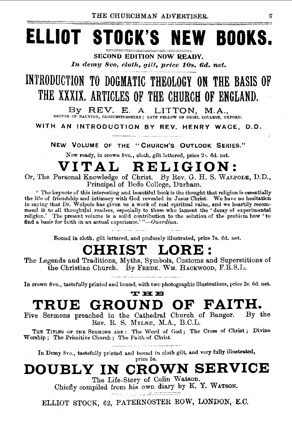## **ELLIOT STOCK'S NEW BOOKS.**

**SECOND EDITION NOW READY.** In demy 8vo, cloth, gilt, price 10s. 6d. net.

### INTRODUCTION TO DOGMATIC THEOLOGY ON THE BASIS OF THE XXXIX, ARTICLES OF THE CHURCH OF ENGLAND.

By REV. E. A. LITTON, M.A., RECTOR OF NAUNTON, GLOUCESTERSHIRE; LATE FELLOW OF ORIEL COLLEGE, OXFORD.

WITH AN INTRODUCTION BY REV. HENRY WACE, D.D.

NEW VOLUME OF THE "CHURCH'S OUTLOOK SERIES."

Now ready, in crown 8vo., cloth, gilt lettered, price 2. 6d. net.

### VITAL RELIGION:

Or, The Personal Knowledge of Christ. By Rev. G. H. S. WALPOLE, D.D., Principal of Bede College, Durham.

" The keynote of this interesting and beautiful book is the thought that religion is essentially the life of friendship and interessuing anti-<br>teaming with God revealed in Jesus Christ. We have no hesitation<br>in saying that Dr. Walpole has given us a work of real spiritual value, and we heartily recom-<br>mend it to all t find a basis for faith in an actual experience.'"-Guardian.

Bound in cloth, gilt lettered, and profusely illustrated, price 7s. 6d. net.

#### **CHRIST** LORE:

The Legends and Traditions, Myths, Symbols, Customs and Superstitions of the Christian Church. By FREDK. WM. HACKWOOD, F.R.S.L.

In crown 8vo., tastefully printed and bound, with two photographic illustrations, price 2s. 6d. net.

#### **THE** GROUND OF FAITH. TRUE

Five Sermons preached in the Cathedral Church of Bangor. By the Rev. R. S. MYLNE, M.A., B.C.L.

THE TITLES OF THE SEEMONS ARE: The Word of God; The Cross of Christ; Divine Worship; The Primitive Church; The Faith of Christ.

In Demy 8vo., tastefully printed and bound in cloth gilt, and very fully illustrated, price 5s.

DOUBLY IN CROWN SERVICE

The Life-Story of Colin Watson. Chiefly compiled from his own diary by K. Y. WATSON.

mar e para la mateixa del po

ELLIOT STOCK, 62, PATERNOSTER ROW, LONDON, E.C.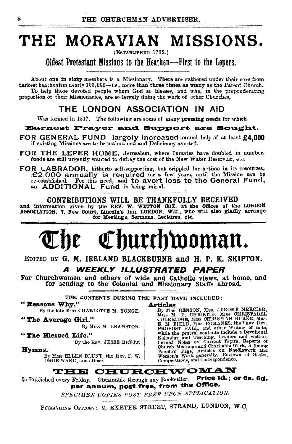### THE MORAVIAN MISSIONS.

(ESTABLISHED 1732.)

Oldest Protestant Missions to the Heathen-First to the Lepers.

About one in sixty members is a Missionary. There are gathered under their care from darkest heathenism nearly  $100,000-i.e.$ , more than three times as many as the Parent Church. To help those devoted people whom God so blesses, and who, in the preponderating proportion of their Missionaries, are so largely doing the work of other Churches,

#### THE LONDON ASSOCIATION IN AID

Was formed in 1817. The following are some of many pressing needs for which

Earnest Prayer and Support are Sought.

FOR GENERAL FUND-largely increased annual help of at least £4,000 if existing Missions are to be maintained and Deficiency averted.

FOR THE LEPER HOME, Jerusalem, where Inmates have doubled in number. funds are still urgently wanted to defray the cost of the New Water Reservoir, etc.

FOR LABRADOR, hitherto self-supporting, but crippled for a time in its resources, £2.000 annually is required for a few years, until the Mission can be re-established. For this need, and to avert loss to the General Fund, an ADDITIONAL Fund is being raised.

CONTRIBUTIONS WILL BE THANKFULLY RECEIVED and information given by the REV. W. WETTON COX, at the omces of the LONDON ASSOCIATION, 7, New Court, Lincoln's Inn, LONDON, W.O., who will also gladly arrange for Meetings, Sermons, Lectures, etc.

## Churchwoman.

EDITED BY G. M. IRELAND BLACKBURNE and H. P. K. SKIPTON. *A WEEKLY ILLUSTRATED PAPER* 

For Churchwomen and others of wide and Catholic views, at home, and for sending to the Colonial and Missionary Staffs abroad.

THE CONTENTS DURING THE PAST HAVE INCLUDED:

" **Reasons Why."** By the late Miss CHARLOTTE M. YONGE.  $\begin{array}{c|c} \n & \textbf{Articles} \\
\hline\n\text{By Mns.}\n\end{array}$ 

By the late Mrss CHARLOTTE M. YONGE. By MRS. BENSON, Mas. JEROME MERCIER,<br>Mas. M. E. CHRISTABEL M. E. CHRISTIAN BURKE, MERCIER, MAS.<br>"The Average Girl." COLERIDGE, MISS CHRISTIAN BURKE, MRS. E. M. FIELD, MES. ROMANES, the VERY REV.<br>
"The Blessed Life."<br>
"The Blessed Life."<br>
"The Blessed Life."<br>
By MES. J. BRAMSTON.<br>
"The Blessed Life."<br>
"By the REV. JESSE BRETT.<br>
By the REV. JESSE BRETT.<br>
By the REV. JESSE BRE

### ORDE-WARD, and others. The Competitions, and Correspondence.

Is Published every Friday. Obtainable through any Bookseller. Price 1d.; or 6s. 6d. per annum, post free, from the Office.

SPECIMEN COPIES POST FREE UPON APPLICATION.

PUBLISHING OFFICES: 2, EXETER STREET, STRAND, LONDON, W.C.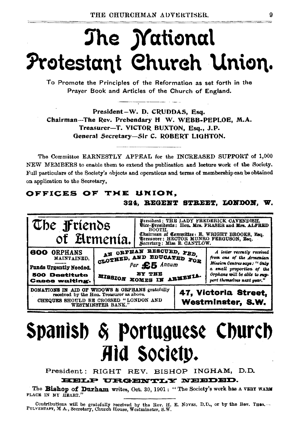## The *M*ational Protestant Church Union.

To Promote the Principles of the Reformation as set forth in the Prayer Book and Articles of the Church of England.

President-W. D. CRUDDAS, Esq. Chairman-The Rev. Prebendary H W. WEBB-PEPLOE, M.A. Treasurer-T. VICTOR BUXTON, Esq., J.P. General Secretary-Sir C. ROBERT LIGHTON.

The Committee EARNESTLY APPEAL for the INCREASED SUPPORT of 1,000 NEW MEMBERS to enable them to extend the publication and lecture work of the Society. Full particulars of the Society's objects and operations and terms of membership can be obtained on application to the Secretary,

#### OFFICES OF THE UNION. 324, REGENT STREET, LONDON. W.



## Spanish & Portuguese Church Aid Society.

President: RIGHT REV. BISHOP INGHAM, D.D.

#### HELP URGENTLY NEEDED.

The Bishop of Durham writes, Oct. 30, 1901: "The Society's work has a VERY WARM PLACE IN MY HEART.'

Contributions will be gratefully received by the Rev. H. E. Noves, D.D., or by the Rev. THOS. -- PULVERTAFT, M A., Secretary, Church House, Westminster, S.W.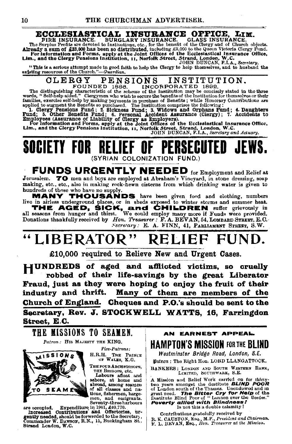### ECCLESIASTICAL INSURANCE OFFICE, LIM.<br>FIRE INSURANCE. BURGLARY INSURANCE. GLASS INSURANCE.

FIRE INSURANCE. BURGLARY INSURANCE. GLASS INSURANCE.<br>The Surplus Profits are devoted to Institutions, tet., for the benefit of the Guye and of Church objects.<br>Already a sum of £33,000 has been so distributed, including £3

CLERGY PENSIONS INSTITUTION.<br>FOUNDED 1886. INCORPORATED 1892.<br>The distinguishing characteristic of the scheme of the Institution may be concisely stated in the three<br>words, "Self-help aided." Clergymen who wish to secure t

families, exercise self-help by making payments in purchase of Benefits; while Honorary Contributions are applied to sugment the Benefits o purchased. The Institution are applied to sugment the Benefits of 1. Clergy Pensio

Employees (Assurance of Liability of Clergy as Employers).<br>For information and Forms, apply at the Joint Offices of the Ecclesiatical Insurance Office,<br>Lim., and the Clergy Pensions Institution, 11, Norfolk Street, Strand,



FUNDS URGENTLY NEEDED for Employment and Relief at Jerusalem. TO men and boys are employed at Abraham's Vineyard, in stone dressing, soap making, etc., etc., also in making rock-hewn cisterns from which drinking water is given to hundreds of those who have no supply.

muncess or those who nave no supply.<br> **MANY THOUSANDS** have been given food and clothing, numbers ive in airless underground places, or in sheds exposed to winter storms and summer heat. ire in airless underground places, or in sheds exposed to winter storms and summer heat.<br>THE AGED, SICK, ENGING TO HILDREN in start of the grievously in<br>all seasons from hunger and thirst. We could employ many more if Fund

*Secretary:* B. A. FINN, 41, PARLIAMENT STREET, S.W.

## " LIBERATOR" RELIEF FUND.<br> $\text{F10,000 required to Relieve New and Urgent Cases.}$

HUNDREDS of aged and afflicted victims, so cruelly · robbed of their life-savings by the great Liberator Fraud, just as they were hoping to enjoy the fruit of their industry and thrift. Many of them are members of the Church of England. Cheques and P.O.'s should be sent to the Secretary, Rev. J. STOCKWELL WATTS, 16, Farringdon Street, E.C.



THE FOUR ARCHBISHOPS,

THE BISHOPS, etc.<br>Labours afloat and

ashore, at home and abroad, among seamen of all classes and na-<br>tions, fishermen, barge. men, and emigrants.<br>Seventy-three harbours

Seventy-three harbours are occupied. Expanditure in 1001, £40,770.

are occupied. Expendiums in 1901, Expedient in the form of the contributions and Offertories, urgently needed, should be forworded to the Secretar; , Commander W. DAWSON, R.N., 11, Buckingham St.. Strand London, W.C.

EAME

AN EARNEST APPEAL. I HAMPTON'S MISSION FOR THE BLIND

Westminster Bridge Road, London, S.E. Patron: The Right Hon. LORD LLANGATTOCK.

BANKERS: LONDON AND SOUTH wESTERN BANK, LIMITED, SOUTHWARK, S.E.

A Mission and Relief Work carried on for thirty two years amongst the destitute BLINP POOR of London south of the Thames. Unendowed and in great need. The Blfter Cry for Help of the Destitute Blind Poor of "Lonaon over the Border."<br>Poverty allied with Blindness! ls not this· a double calamity?

Contributions gratefully received by R. K. CAUSTON, Esq., M.P., *President and Chairman.*<br>F. L. BEVAN, Esq., *Hon. Treasurer at the Mission.*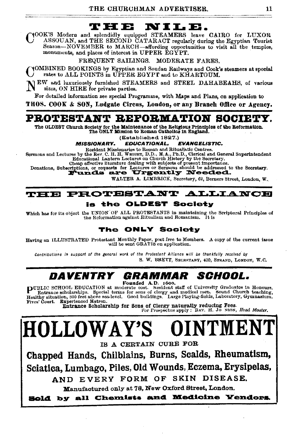#### T H E NILE.

YOOK'S Modern and splendidly equipped STEAMERS leave CAIRO for LUXOR ASSOUAN, and THE SECOND CATARACT regularly during the Egyptian Tourist Season-NOVEMBER to MARCH-affording opportunities to visit all the temples, monuments, and places of interest in UPPER EGYPT.

> FREQUENT SAILINGS. MODERATE FARES.

YOMBINED BOOKINGS by Egyptian and Soudan Railways and Cook's steamers at special rates to ALL POINTS in UPPER EGYPT and to KHARTOUM.

JEW and luxuriously furnished STEAMERS and STEEL DAHABEAHS, of various sizes, ON HIRE for private parties.

For detailed information see special Programme, with Maps and Plans, on application to

THOS. COOK & SON, Ludgate Circus, London, or any Branch Office or Agency.

#### PROTESTANT REFORMATION SOCIETY.

The OLDEST Church Society for the Maintenance of the Religious Principles of the Reformation. The ONLY Mission to Roman Catholics in England.

(Established 1827.)

**MISSIONARY. EDUCATIONAL. EVANGELISTIC.** 

Resident Missionaries to Roman and Ritualistic Centres.

Sermons and Lectures by the Rev. C. H. H. WRIGHT, D.D., M.A., Ph.D., Clerical and General Superintendent Educational Lantern Lectures on Church History by the Secretary.

Cheap effective iiterature dealing with subjects of present importance

Donations, Subscriptions, or requests for Lectures or Sermons should be addressed to the Secretary.

WALTER A. LIMBRICK, Secretary, 62, Berners Street, London, W.

#### **THE PROTESTANT ALLIANCE** is the OLDEST Society

Which has for its object the UNION OF ALL PROTESTANTS in maintaining the Scriptural Principles of ິງ<br>1 tis the Reformation against Ritualism and Romanism.

#### The ONLY Society

Having an ILLUSTRATED Protestant Monthly Paper, post free to Members. A copy of the current issue will be sent GRATIS on application.

Contributions in aupport of the general work of the Protestant Alliance will be thankfully received by S. W. BRETT, SECRETARY, 430, STRAND, LONDON, W.C.

#### DAVENTRY SCHOOL. GRAMMAR Founded A.D. 1600.

PUBLIC SCHOOL EDUCATION at moderate cost. Resident staff of University Graduates in Honours, For Entrance scholarships. Becial terms for sons of clorgy and medical men. Sound Church teaching,<br>Healthy situation, 800 feet above sea-level. Good buildings. Large Playing-fields, Laboratory, Gymnasium. Fives' Court. Experienced Matron.

Entrance Scholarship for Sons of Clergy naturally reducing Fees.<br>For Prospectue apply: REV. H. Jo N90N, Head Master.